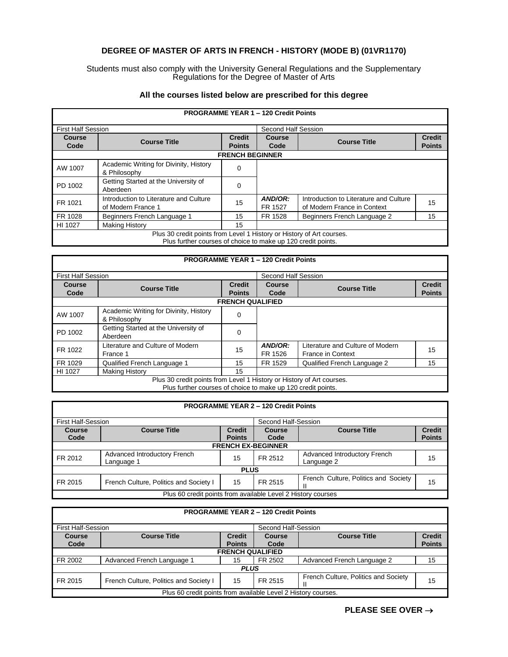## **DEGREE OF MASTER OF ARTS IN FRENCH - HISTORY (MODE B) (01VR1170)**

## Students must also comply with the University General Regulations and the Supplementary Regulations for the Degree of Master of Arts

|                                                                                                                                       |                                                              |                                | <b>PROGRAMME YEAR 1 - 120 Credit Points</b> |                                                                       |                                |  |  |
|---------------------------------------------------------------------------------------------------------------------------------------|--------------------------------------------------------------|--------------------------------|---------------------------------------------|-----------------------------------------------------------------------|--------------------------------|--|--|
| <b>First Half Session</b>                                                                                                             |                                                              |                                | Second Half Session                         |                                                                       |                                |  |  |
| Course<br>Code                                                                                                                        | <b>Course Title</b>                                          | <b>Credit</b><br><b>Points</b> | Course<br>Code                              | <b>Course Title</b>                                                   | <b>Credit</b><br><b>Points</b> |  |  |
|                                                                                                                                       | <b>FRENCH BEGINNER</b>                                       |                                |                                             |                                                                       |                                |  |  |
| AW 1007                                                                                                                               | Academic Writing for Divinity, History<br>& Philosophy       | $\Omega$                       |                                             |                                                                       |                                |  |  |
| PD 1002                                                                                                                               | Getting Started at the University of<br>Aberdeen             | 0                              |                                             |                                                                       |                                |  |  |
| FR 1021                                                                                                                               | Introduction to Literature and Culture<br>of Modern France 1 | 15                             | AND/OR:<br>FR 1527                          | Introduction to Literature and Culture<br>of Modern France in Context | 15                             |  |  |
| FR 1028                                                                                                                               | Beginners French Language 1                                  | 15                             | FR 1528                                     | Beginners French Language 2                                           | 15                             |  |  |
| HI 1027                                                                                                                               | <b>Making History</b>                                        | 15                             |                                             |                                                                       |                                |  |  |
| Plus 30 credit points from Level 1 History or History of Art courses.<br>Plus further courses of choice to make up 120 credit points. |                                                              |                                |                                             |                                                                       |                                |  |  |

## **All the courses listed below are prescribed for this degree**

**PROGRAMME YEAR 1 – 120 Credit Points** First Half Session Second Half Session<br> **Course** Course Course Course Course Course Course Course Course Course Course Course Course Course Course Course Course Course Course Course Course Course Course Course Course Cours **Course Code Course Title Points Course Course Course Title** Credit **Credit** Code **Points FRENCH QUALIFIED** AW 1007 Academic Writing for Divinity, History Academic writing for Divinity, History<br>& Philosophy PD 1002 Getting Started at the University of **Carry Contract Contract A** Co FR 1022 | Literature and Culture of Modern | 15 | **AND/OR:**<br>France 1 **FR 1526** FR 1526 Literature and Culture of Modern Elerature and Culture of Modern 15 FR 1029 Qualified French Language 1 15 FR 1529 Qualified French Language 2 15<br>
HI 1027 Making History 15 15 Making History 15 Plus 30 credit points from Level 1 History or History of Art courses.

Plus further courses of choice to make up 120 credit points.

| <b>PROGRAMME YEAR 2 - 120 Credit Points</b> |  |
|---------------------------------------------|--|
|                                             |  |

| <b>First Half-Session</b>                                    |                                            |               | Second Half-Session |                                            |               |  |  |
|--------------------------------------------------------------|--------------------------------------------|---------------|---------------------|--------------------------------------------|---------------|--|--|
| <b>Course</b>                                                | <b>Course Title</b>                        | <b>Credit</b> | <b>Course</b>       | <b>Course Title</b>                        | <b>Credit</b> |  |  |
| Code                                                         |                                            | <b>Points</b> | Code                |                                            | <b>Points</b> |  |  |
|                                                              | <b>FRENCH EX-BEGINNER</b>                  |               |                     |                                            |               |  |  |
| FR 2012                                                      | Advanced Introductory French<br>Language 1 | 15            | FR 2512             | Advanced Introductory French<br>Language 2 | 15            |  |  |
| <b>PLUS</b>                                                  |                                            |               |                     |                                            |               |  |  |
| FR 2015                                                      | French Culture, Politics and Society I     | 15            | FR 2515             | French Culture, Politics and Society       | 15            |  |  |
| Plus 60 credit points from available Level 2 History courses |                                            |               |                     |                                            |               |  |  |

| <b>PROGRAMME YEAR 2 - 120 Credit Points</b>                   |                                                                              |               |                     |                                      |               |  |  |
|---------------------------------------------------------------|------------------------------------------------------------------------------|---------------|---------------------|--------------------------------------|---------------|--|--|
| <b>First Half-Session</b>                                     |                                                                              |               | Second Half-Session |                                      |               |  |  |
| <b>Course</b>                                                 | <b>Course Title</b><br><b>Course Title</b><br><b>Credit</b><br><b>Course</b> |               |                     |                                      | <b>Credit</b> |  |  |
| Code                                                          |                                                                              | <b>Points</b> | Code                |                                      | <b>Points</b> |  |  |
|                                                               | <b>FRENCH QUALIFIED</b>                                                      |               |                     |                                      |               |  |  |
| FR 2002                                                       | Advanced French Language 1                                                   | 15            | FR 2502             | Advanced French Language 2           | 15            |  |  |
| <b>PLUS</b>                                                   |                                                                              |               |                     |                                      |               |  |  |
| FR 2015                                                       | French Culture, Politics and Society I                                       | 15            | FR 2515             | French Culture, Politics and Society | 15            |  |  |
| Plus 60 credit points from available Level 2 History courses. |                                                                              |               |                     |                                      |               |  |  |